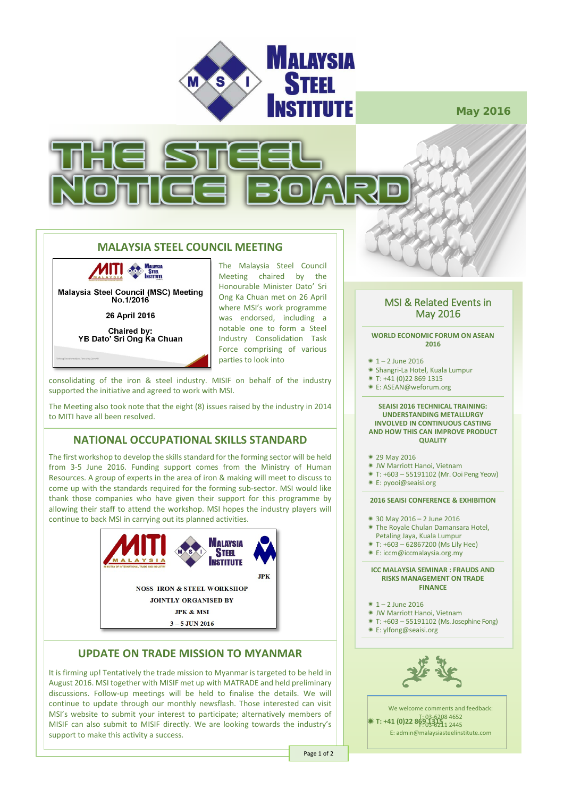

May 2016



## **MALAYSIA STEEL COUNCIL MEETING**

**VITI STEEL Malaysia Steel Council (MSC) Meeting** No.1/2016

26 April 2016

Chaired by:<br>YB Dato' Sri Ong Ka Chuan

The Malaysia Steel Council Meeting chaired by the Honourable Minister Dato' Sri Ong Ka Chuan met on 26 April where MSI's work programme was endorsed, including a notable one to form a Steel Industry Consolidation Task Force comprising of various parties to look into

consolidating of the iron & steel industry. MISIF on behalf of the industry supported the initiative and agreed to work with MSI.

The Meeting also took note that the eight (8) issues raised by the industry in 2014 to MITI have all been resolved.

# **NATIONAL OCCUPATIONAL SKILLS STANDARD**

The first workshop to develop the skills standard for the forming sector will be held from 3-5 June 2016. Funding support comes from the Ministry of Human Resources. A group of experts in the area of iron & making will meet to discuss to come up with the standards required for the forming sub-sector. MSI would like thank those companies who have given their support for this programme by allowing their staff to attend the workshop. MSI hopes the industry players will continue to back MSI in carrying out its planned activities.



# **UPDATE ON TRADE MISSION TO MYANMAR**

It is firming up! Tentatively the trade mission to Myanmar is targeted to be held in August 2016. MSI together with MISIF met up with MATRADE and held preliminary discussions. Follow-up meetings will be held to finalise the details. We will continue to update through our monthly newsflash. Those interested can visit MSI's website to submit your interest to participate; alternatively members of MISIF can also submit to MISIF directly. We are looking towards the industry's support to make this activity a success.

# MSI & Related Events in May 2016

#### **WORLD ECONOMIC FORUM ON ASEAN 2016**

- $*1 2$  June 2016
- Shangri-La Hotel, Kuala Lumpur
- T: +41 (0)22 869 1315
- E: ASEAN@weforum.org

#### **SEAISI 2016 TECHNICAL TRAINING: UNDERSTANDING METALLURGY INVOLVED IN CONTINUOUS CASTING AND HOW THIS CAN IMPROVE PRODUCT QUALITY**

- 29 May 2016
- JW Marriott Hanoi, Vietnam
- T: +603 55191102 (Mr. Ooi Peng Yeow)
- E: pyooi@seaisi.org

### **2016 SEAISI CONFERENCE & EXHIBITION**

- 30 May 2016 2 June 2016
- The Royale Chulan Damansara Hotel,
- Petaling Jaya, Kuala Lumpur
- T: +603 62867200 (Ms Lily Hee)
- E: iccm@iccmalaysia.org.my

#### **ICC MALAYSIA SEMINAR : FRAUDS AND RISKS MANAGEMENT ON TRADE FINANCE**

- $*1 2$  lune 2016
- JW Marriott Hanoi, Vietnam
- T: +603 55191102 (Ms. Josephine Fong)
- E: ylfong@seaisi.org



We welcome comments and feedback: T: 03-6208 4652 **K T: +41 (0)22 869 1315** 1 2445 E: admin@malaysiasteelinstitute.com